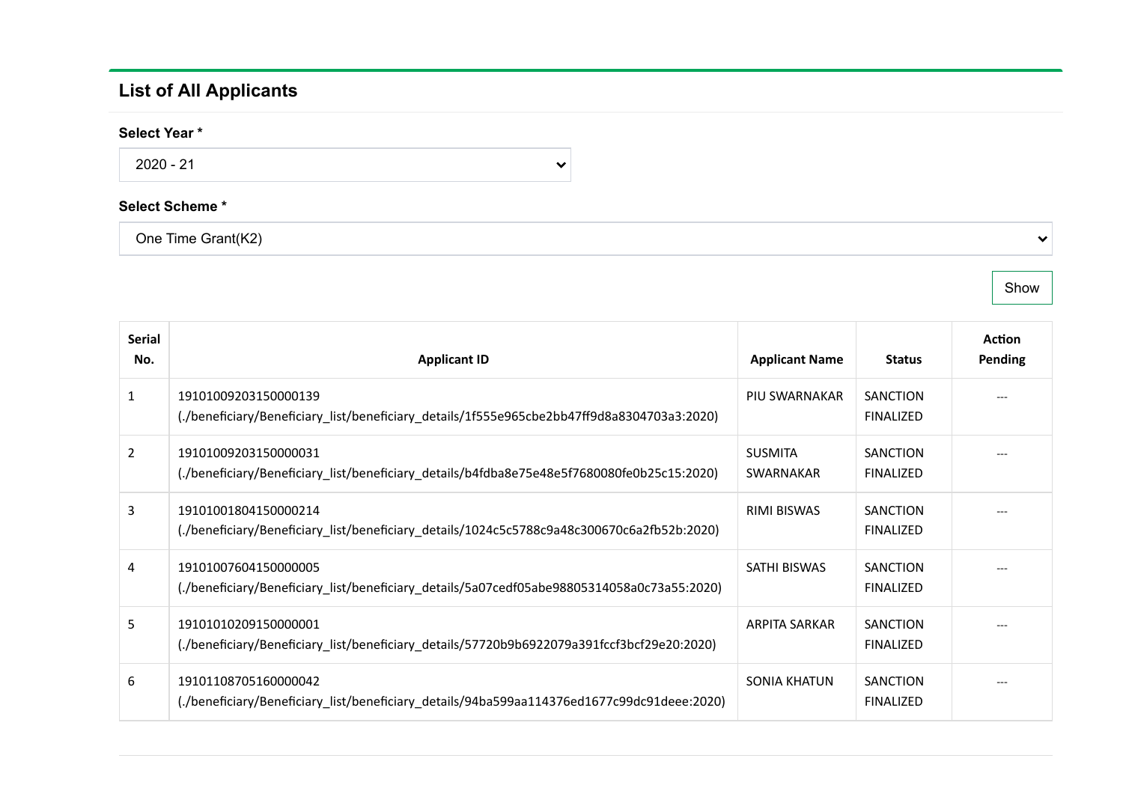## List of All Applicants

## Select Year \*

2020 - 21

## Select Scheme \*

One Time Grant(K2)

Show

 $\checkmark$ 

| Serial<br>No.  | <b>Applicant ID</b>                                                                                                 | <b>Applicant Name</b>              | <b>Status</b>                       | <b>Action</b><br>Pending |
|----------------|---------------------------------------------------------------------------------------------------------------------|------------------------------------|-------------------------------------|--------------------------|
| $\mathbf{1}$   | 19101009203150000139<br>(./beneficiary/Beneficiary_list/beneficiary_details/1f555e965cbe2bb47ff9d8a8304703a3:2020). | PIU SWARNAKAR                      | <b>SANCTION</b><br><b>FINALIZED</b> |                          |
| $\overline{2}$ | 19101009203150000031<br>(./beneficiary/Beneficiary_list/beneficiary_details/b4fdba8e75e48e5f7680080fe0b25c15:2020)  | <b>SUSMITA</b><br><b>SWARNAKAR</b> | <b>SANCTION</b><br><b>FINALIZED</b> |                          |
| 3              | 19101001804150000214<br>(./beneficiary/Beneficiary_list/beneficiary_details/1024c5c5788c9a48c300670c6a2fb52b:2020)  | RIMI BISWAS                        | <b>SANCTION</b><br><b>FINALIZED</b> |                          |
| 4              | 19101007604150000005<br>(./beneficiary/Beneficiary list/beneficiary details/5a07cedf05abe98805314058a0c73a55:2020). | SATHI BISWAS                       | <b>SANCTION</b><br><b>FINALIZED</b> |                          |
| 5              | 19101010209150000001<br>(./beneficiary/Beneficiary_list/beneficiary_details/57720b9b6922079a391fccf3bcf29e20:2020)  | ARPITA SARKAR                      | <b>SANCTION</b><br><b>FINALIZED</b> |                          |
| 6              | 19101108705160000042<br>(./beneficiary/Beneficiary_list/beneficiary_details/94ba599aa114376ed1677c99dc91deee:2020). | SONIA KHATUN                       | <b>SANCTION</b><br><b>FINALIZED</b> |                          |

 $\checkmark$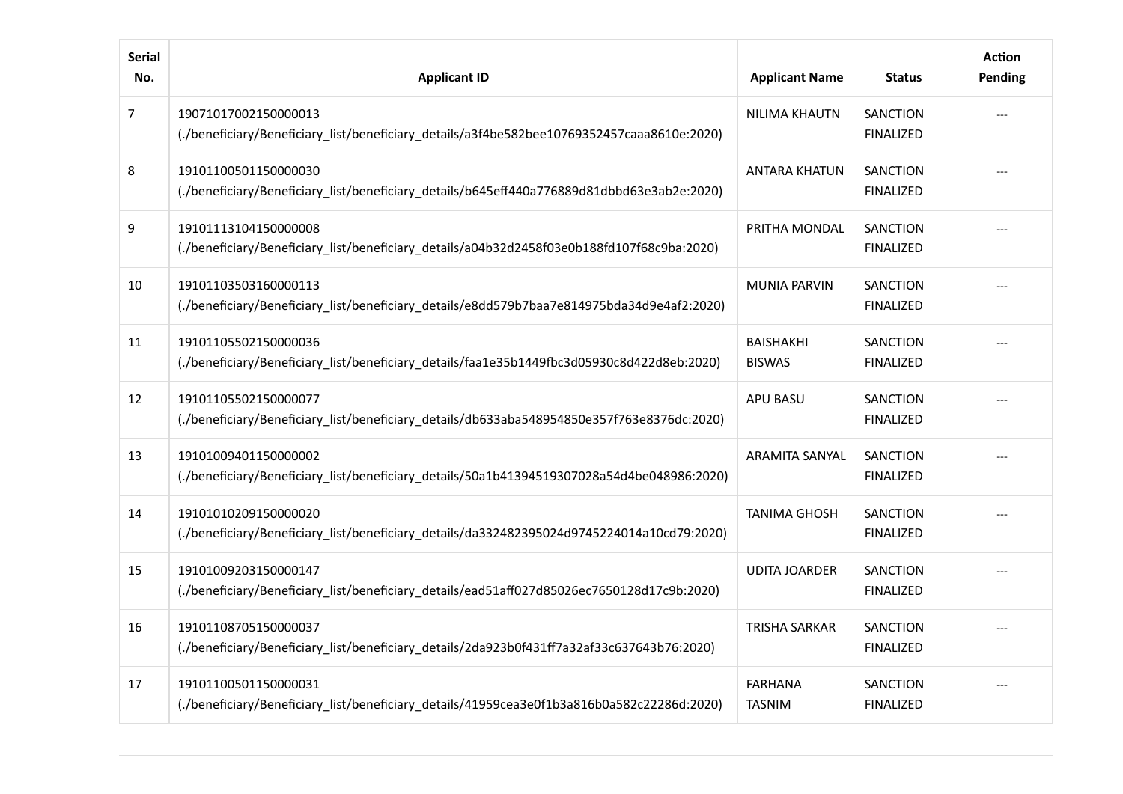| <b>Serial</b><br>No. | <b>Applicant ID</b>                                                                                                 | <b>Applicant Name</b>             | <b>Status</b>                       | <b>Action</b><br>Pending |
|----------------------|---------------------------------------------------------------------------------------------------------------------|-----------------------------------|-------------------------------------|--------------------------|
| $\overline{7}$       | 19071017002150000013<br>(./beneficiary/Beneficiary list/beneficiary details/a3f4be582bee10769352457caaa8610e:2020). | <b>NILIMA KHAUTN</b>              | <b>SANCTION</b><br><b>FINALIZED</b> |                          |
| 8                    | 19101100501150000030<br>(./beneficiary/Beneficiary list/beneficiary details/b645eff440a776889d81dbbd63e3ab2e:2020). | <b>ANTARA KHATUN</b>              | <b>SANCTION</b><br><b>FINALIZED</b> |                          |
| 9                    | 19101113104150000008<br>(./beneficiary/Beneficiary_list/beneficiary_details/a04b32d2458f03e0b188fd107f68c9ba:2020). | PRITHA MONDAL                     | <b>SANCTION</b><br><b>FINALIZED</b> |                          |
| 10                   | 19101103503160000113<br>(./beneficiary/Beneficiary_list/beneficiary_details/e8dd579b7baa7e814975bda34d9e4af2:2020). | <b>MUNIA PARVIN</b>               | SANCTION<br><b>FINALIZED</b>        |                          |
| 11                   | 19101105502150000036<br>(./beneficiary/Beneficiary_list/beneficiary_details/faa1e35b1449fbc3d05930c8d422d8eb:2020). | <b>BAISHAKHI</b><br><b>BISWAS</b> | <b>SANCTION</b><br><b>FINALIZED</b> |                          |
| 12                   | 19101105502150000077<br>(./beneficiary/Beneficiary_list/beneficiary_details/db633aba548954850e357f763e8376dc:2020). | APU BASU                          | <b>SANCTION</b><br><b>FINALIZED</b> |                          |
| 13                   | 19101009401150000002<br>(./beneficiary/Beneficiary_list/beneficiary_details/50a1b41394519307028a54d4be048986:2020). | <b>ARAMITA SANYAL</b>             | <b>SANCTION</b><br><b>FINALIZED</b> |                          |
| 14                   | 19101010209150000020<br>(./beneficiary/Beneficiary_list/beneficiary_details/da332482395024d9745224014a10cd79:2020). | <b>TANIMA GHOSH</b>               | SANCTION<br><b>FINALIZED</b>        |                          |
| 15                   | 19101009203150000147<br>(./beneficiary/Beneficiary_list/beneficiary_details/ead51aff027d85026ec7650128d17c9b:2020). | <b>UDITA JOARDER</b>              | <b>SANCTION</b><br><b>FINALIZED</b> |                          |
| 16                   | 19101108705150000037<br>(./beneficiary/Beneficiary_list/beneficiary_details/2da923b0f431ff7a32af33c637643b76:2020)  | <b>TRISHA SARKAR</b>              | <b>SANCTION</b><br><b>FINALIZED</b> |                          |
| 17                   | 19101100501150000031<br>(./beneficiary/Beneficiary_list/beneficiary_details/41959cea3e0f1b3a816b0a582c22286d:2020). | <b>FARHANA</b><br><b>TASNIM</b>   | <b>SANCTION</b><br><b>FINALIZED</b> |                          |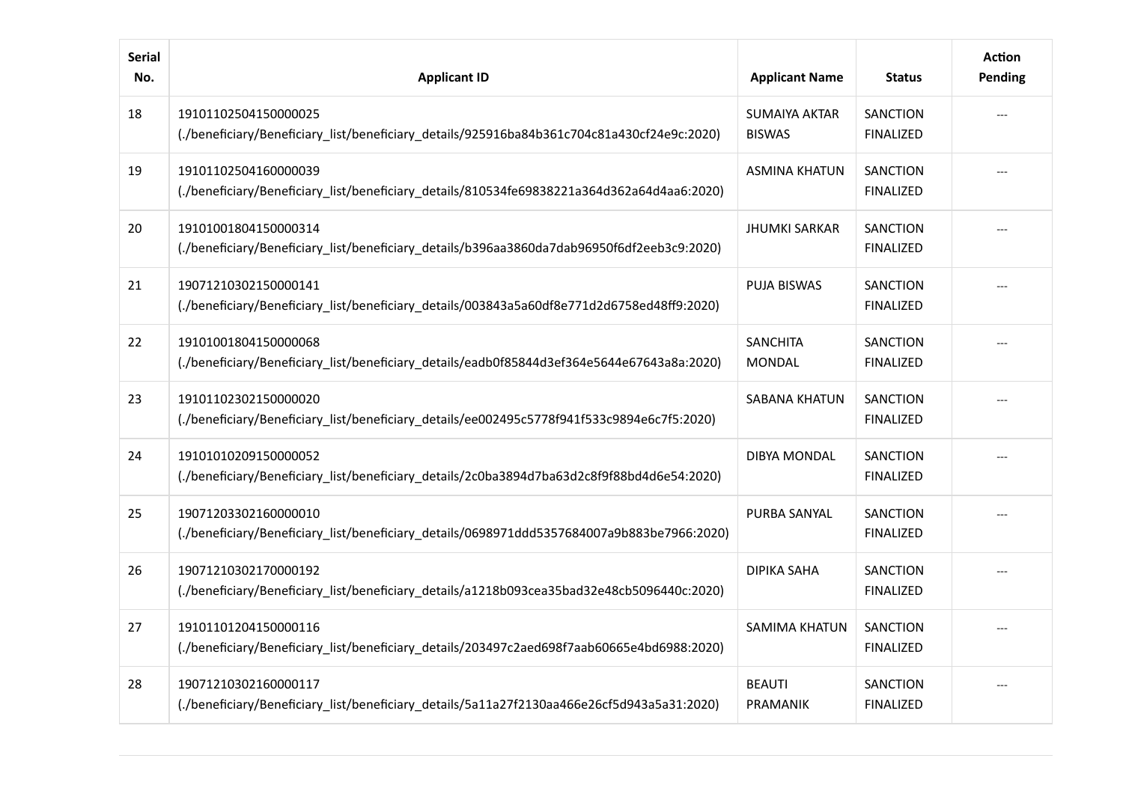| <b>Serial</b><br>No. | <b>Applicant ID</b>                                                                                                 | <b>Applicant Name</b>                 | <b>Status</b>                       | <b>Action</b><br>Pending |
|----------------------|---------------------------------------------------------------------------------------------------------------------|---------------------------------------|-------------------------------------|--------------------------|
| 18                   | 19101102504150000025<br>(./beneficiary/Beneficiary_list/beneficiary_details/925916ba84b361c704c81a430cf24e9c:2020)  | <b>SUMAIYA AKTAR</b><br><b>BISWAS</b> | SANCTION<br><b>FINALIZED</b>        |                          |
| 19                   | 19101102504160000039<br>(./beneficiary/Beneficiary_list/beneficiary_details/810534fe69838221a364d362a64d4aa6:2020)  | <b>ASMINA KHATUN</b>                  | <b>SANCTION</b><br><b>FINALIZED</b> |                          |
| 20                   | 19101001804150000314<br>(./beneficiary/Beneficiary_list/beneficiary_details/b396aa3860da7dab96950f6df2eeb3c9:2020). | <b>JHUMKI SARKAR</b>                  | <b>SANCTION</b><br><b>FINALIZED</b> |                          |
| 21                   | 19071210302150000141<br>(./beneficiary/Beneficiary_list/beneficiary_details/003843a5a60df8e771d2d6758ed48ff9:2020). | <b>PUJA BISWAS</b>                    | <b>SANCTION</b><br><b>FINALIZED</b> |                          |
| 22                   | 19101001804150000068<br>(./beneficiary/Beneficiary_list/beneficiary_details/eadb0f85844d3ef364e5644e67643a8a:2020). | <b>SANCHITA</b><br><b>MONDAL</b>      | SANCTION<br><b>FINALIZED</b>        |                          |
| 23                   | 19101102302150000020<br>(./beneficiary/Beneficiary_list/beneficiary_details/ee002495c5778f941f533c9894e6c7f5:2020). | <b>SABANA KHATUN</b>                  | <b>SANCTION</b><br><b>FINALIZED</b> |                          |
| 24                   | 19101010209150000052<br>(./beneficiary/Beneficiary_list/beneficiary_details/2c0ba3894d7ba63d2c8f9f88bd4d6e54:2020)  | <b>DIBYA MONDAL</b>                   | <b>SANCTION</b><br><b>FINALIZED</b> |                          |
| 25                   | 19071203302160000010<br>(./beneficiary/Beneficiary_list/beneficiary_details/0698971ddd5357684007a9b883be7966:2020)  | PURBA SANYAL                          | <b>SANCTION</b><br><b>FINALIZED</b> |                          |
| 26                   | 19071210302170000192<br>(./beneficiary/Beneficiary_list/beneficiary_details/a1218b093cea35bad32e48cb5096440c:2020)  | <b>DIPIKA SAHA</b>                    | <b>SANCTION</b><br><b>FINALIZED</b> |                          |
| 27                   | 19101101204150000116<br>(./beneficiary/Beneficiary_list/beneficiary_details/203497c2aed698f7aab60665e4bd6988:2020). | <b>SAMIMA KHATUN</b>                  | <b>SANCTION</b><br><b>FINALIZED</b> |                          |
| 28                   | 19071210302160000117<br>(./beneficiary/Beneficiary_list/beneficiary_details/5a11a27f2130aa466e26cf5d943a5a31:2020). | <b>BEAUTI</b><br>PRAMANIK             | SANCTION<br><b>FINALIZED</b>        |                          |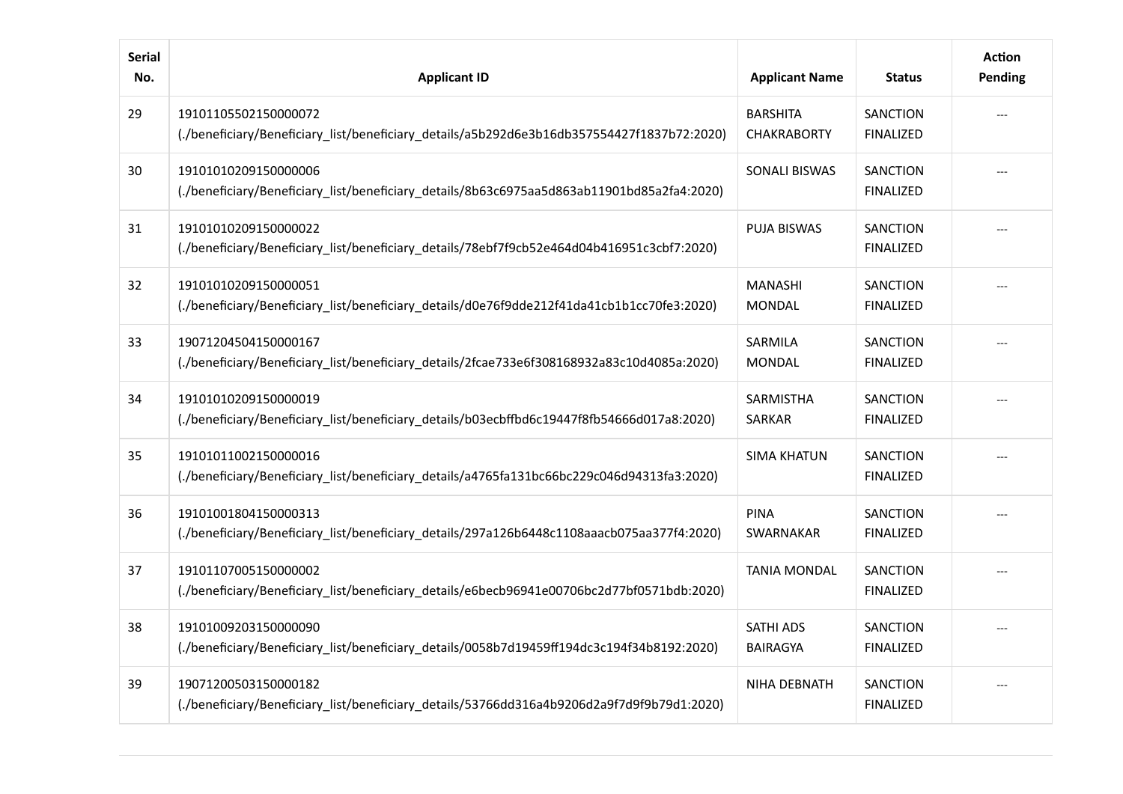| <b>Serial</b><br>No. | <b>Applicant ID</b>                                                                                                 | <b>Applicant Name</b>                 | <b>Status</b>                       | <b>Action</b><br>Pending |
|----------------------|---------------------------------------------------------------------------------------------------------------------|---------------------------------------|-------------------------------------|--------------------------|
| 29                   | 19101105502150000072<br>(./beneficiary/Beneficiary_list/beneficiary_details/a5b292d6e3b16db357554427f1837b72:2020)  | <b>BARSHITA</b><br><b>CHAKRABORTY</b> | SANCTION<br><b>FINALIZED</b>        |                          |
| 30                   | 19101010209150000006<br>(./beneficiary/Beneficiary_list/beneficiary_details/8b63c6975aa5d863ab11901bd85a2fa4:2020). | <b>SONALI BISWAS</b>                  | <b>SANCTION</b><br><b>FINALIZED</b> |                          |
| 31                   | 19101010209150000022<br>(./beneficiary/Beneficiary_list/beneficiary_details/78ebf7f9cb52e464d04b416951c3cbf7:2020)  | <b>PUJA BISWAS</b>                    | <b>SANCTION</b><br><b>FINALIZED</b> |                          |
| 32                   | 19101010209150000051<br>(./beneficiary/Beneficiary_list/beneficiary_details/d0e76f9dde212f41da41cb1b1cc70fe3:2020). | <b>MANASHI</b><br><b>MONDAL</b>       | <b>SANCTION</b><br><b>FINALIZED</b> |                          |
| 33                   | 19071204504150000167<br>(./beneficiary/Beneficiary_list/beneficiary_details/2fcae733e6f308168932a83c10d4085a:2020). | SARMILA<br><b>MONDAL</b>              | SANCTION<br><b>FINALIZED</b>        |                          |
| 34                   | 19101010209150000019<br>(./beneficiary/Beneficiary_list/beneficiary_details/b03ecbffbd6c19447f8fb54666d017a8:2020). | <b>SARMISTHA</b><br><b>SARKAR</b>     | <b>SANCTION</b><br><b>FINALIZED</b> |                          |
| 35                   | 19101011002150000016<br>(./beneficiary/Beneficiary_list/beneficiary_details/a4765fa131bc66bc229c046d94313fa3:2020). | <b>SIMA KHATUN</b>                    | <b>SANCTION</b><br><b>FINALIZED</b> |                          |
| 36                   | 19101001804150000313<br>(./beneficiary/Beneficiary_list/beneficiary_details/297a126b6448c1108aaacb075aa377f4:2020). | <b>PINA</b><br>SWARNAKAR              | <b>SANCTION</b><br><b>FINALIZED</b> |                          |
| 37                   | 19101107005150000002<br>(./beneficiary/Beneficiary_list/beneficiary_details/e6becb96941e00706bc2d77bf0571bdb:2020). | <b>TANIA MONDAL</b>                   | SANCTION<br><b>FINALIZED</b>        |                          |
| 38                   | 19101009203150000090<br>(./beneficiary/Beneficiary_list/beneficiary_details/0058b7d19459ff194dc3c194f34b8192:2020)  | <b>SATHI ADS</b><br><b>BAIRAGYA</b>   | <b>SANCTION</b><br><b>FINALIZED</b> |                          |
| 39                   | 19071200503150000182<br>(./beneficiary/Beneficiary_list/beneficiary_details/53766dd316a4b9206d2a9f7d9f9b79d1:2020)  | NIHA DEBNATH                          | SANCTION<br><b>FINALIZED</b>        |                          |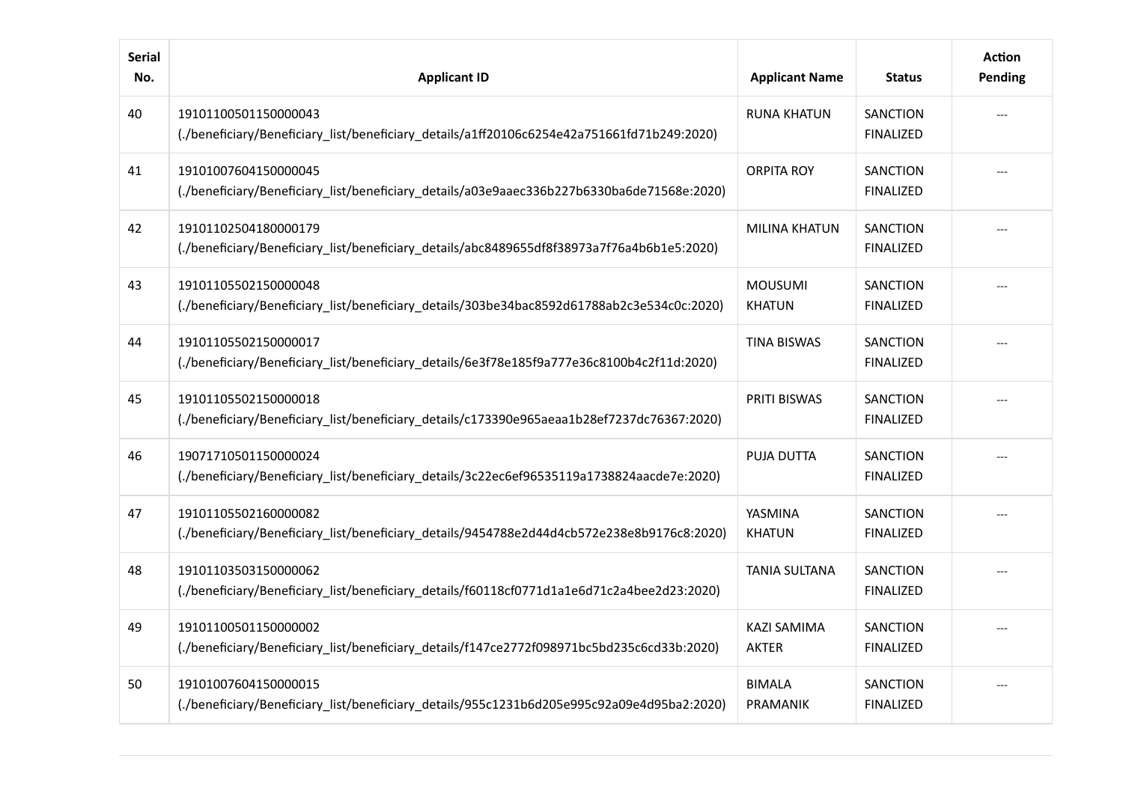| <b>Serial</b><br>No. | <b>Applicant ID</b>                                                                                                 | <b>Applicant Name</b>              | <b>Status</b>                       | <b>Action</b><br>Pending |
|----------------------|---------------------------------------------------------------------------------------------------------------------|------------------------------------|-------------------------------------|--------------------------|
| 40                   | 19101100501150000043<br>(./beneficiary/Beneficiary_list/beneficiary_details/a1ff20106c6254e42a751661fd71b249:2020)  | <b>RUNA KHATUN</b>                 | <b>SANCTION</b><br><b>FINALIZED</b> |                          |
| 41                   | 19101007604150000045<br>(./beneficiary/Beneficiary_list/beneficiary_details/a03e9aaec336b227b6330ba6de71568e:2020). | <b>ORPITA ROY</b>                  | <b>SANCTION</b><br><b>FINALIZED</b> |                          |
| 42                   | 19101102504180000179<br>(./beneficiary/Beneficiary_list/beneficiary_details/abc8489655df8f38973a7f76a4b6b1e5:2020). | <b>MILINA KHATUN</b>               | <b>SANCTION</b><br><b>FINALIZED</b> |                          |
| 43                   | 19101105502150000048<br>(./beneficiary/Beneficiary_list/beneficiary_details/303be34bac8592d61788ab2c3e534c0c:2020)  | <b>MOUSUMI</b><br><b>KHATUN</b>    | <b>SANCTION</b><br><b>FINALIZED</b> |                          |
| 44                   | 19101105502150000017<br>(./beneficiary/Beneficiary_list/beneficiary_details/6e3f78e185f9a777e36c8100b4c2f11d:2020)  | <b>TINA BISWAS</b>                 | SANCTION<br><b>FINALIZED</b>        |                          |
| 45                   | 19101105502150000018<br>(./beneficiary/Beneficiary_list/beneficiary_details/c173390e965aeaa1b28ef7237dc76367:2020)  | <b>PRITI BISWAS</b>                | SANCTION<br><b>FINALIZED</b>        |                          |
| 46                   | 19071710501150000024<br>(./beneficiary/Beneficiary_list/beneficiary_details/3c22ec6ef96535119a1738824aacde7e:2020). | <b>PUJA DUTTA</b>                  | <b>SANCTION</b><br><b>FINALIZED</b> |                          |
| 47                   | 19101105502160000082<br>(./beneficiary/Beneficiary_list/beneficiary_details/9454788e2d44d4cb572e238e8b9176c8:2020). | YASMINA<br><b>KHATUN</b>           | <b>SANCTION</b><br><b>FINALIZED</b> |                          |
| 48                   | 19101103503150000062<br>(./beneficiary/Beneficiary_list/beneficiary_details/f60118cf0771d1a1e6d71c2a4bee2d23:2020)  | <b>TANIA SULTANA</b>               | <b>SANCTION</b><br><b>FINALIZED</b> |                          |
| 49                   | 19101100501150000002<br>(./beneficiary/Beneficiary_list/beneficiary_details/f147ce2772f098971bc5bd235c6cd33b:2020)  | <b>KAZI SAMIMA</b><br><b>AKTER</b> | <b>SANCTION</b><br><b>FINALIZED</b> |                          |
| 50                   | 19101007604150000015<br>(./beneficiary/Beneficiary_list/beneficiary_details/955c1231b6d205e995c92a09e4d95ba2:2020)  | <b>BIMALA</b><br>PRAMANIK          | SANCTION<br><b>FINALIZED</b>        |                          |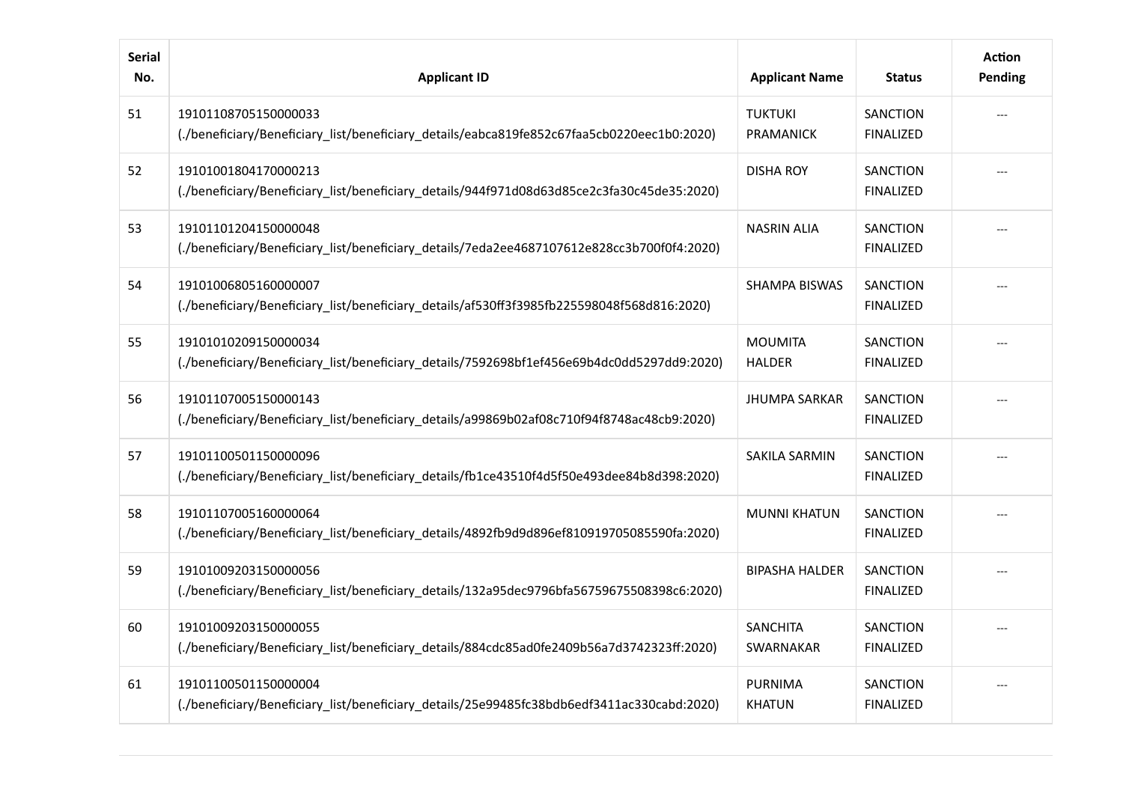| <b>Serial</b><br>No. | <b>Applicant ID</b>                                                                                                 | <b>Applicant Name</b>              | <b>Status</b>                       | <b>Action</b><br>Pending |
|----------------------|---------------------------------------------------------------------------------------------------------------------|------------------------------------|-------------------------------------|--------------------------|
| 51                   | 19101108705150000033<br>(./beneficiary/Beneficiary_list/beneficiary_details/eabca819fe852c67faa5cb0220eec1b0:2020)  | <b>TUKTUKI</b><br><b>PRAMANICK</b> | SANCTION<br><b>FINALIZED</b>        |                          |
| 52                   | 19101001804170000213<br>(./beneficiary/Beneficiary_list/beneficiary_details/944f971d08d63d85ce2c3fa30c45de35:2020)  | <b>DISHA ROY</b>                   | <b>SANCTION</b><br><b>FINALIZED</b> |                          |
| 53                   | 19101101204150000048<br>(./beneficiary/Beneficiary_list/beneficiary_details/7eda2ee4687107612e828cc3b700f0f4:2020). | <b>NASRIN ALIA</b>                 | SANCTION<br><b>FINALIZED</b>        |                          |
| 54                   | 19101006805160000007<br>(./beneficiary/Beneficiary_list/beneficiary_details/af530ff3f9885fb225598048f568d816:2020). | <b>SHAMPA BISWAS</b>               | SANCTION<br><b>FINALIZED</b>        |                          |
| 55                   | 19101010209150000034<br>(./beneficiary/Beneficiary_list/beneficiary_details/7592698bf1ef456e69b4dc0dd5297dd9:2020). | <b>MOUMITA</b><br><b>HALDER</b>    | SANCTION<br><b>FINALIZED</b>        |                          |
| 56                   | 19101107005150000143<br>(./beneficiary/Beneficiary_list/beneficiary_details/a99869b02af08c710f94f8748ac48cb9:2020). | <b>JHUMPA SARKAR</b>               | <b>SANCTION</b><br><b>FINALIZED</b> |                          |
| 57                   | 19101100501150000096<br>(./beneficiary/Beneficiary_list/beneficiary_details/fb1ce43510f4d5f50e493dee84b8d398:2020)  | <b>SAKILA SARMIN</b>               | <b>SANCTION</b><br><b>FINALIZED</b> |                          |
| 58                   | 19101107005160000064<br>(./beneficiary/Beneficiary_list/beneficiary_details/4892fb9d9d896ef810919705085590fa:2020)  | <b>MUNNI KHATUN</b>                | <b>SANCTION</b><br><b>FINALIZED</b> |                          |
| 59                   | 19101009203150000056<br>(./beneficiary/Beneficiary_list/beneficiary_details/132a95dec9796bfa56759675508398c6:2020). | <b>BIPASHA HALDER</b>              | <b>SANCTION</b><br><b>FINALIZED</b> |                          |
| 60                   | 19101009203150000055<br>(./beneficiary/Beneficiary_list/beneficiary_details/884cdc85ad0fe2409b56a7d3742323ff:2020)  | <b>SANCHITA</b><br>SWARNAKAR       | <b>SANCTION</b><br><b>FINALIZED</b> |                          |
| 61                   | 19101100501150000004<br>(./beneficiary/Beneficiary_list/beneficiary_details/25e99485fc38bdb6edf3411ac330cabd:2020). | <b>PURNIMA</b><br><b>KHATUN</b>    | SANCTION<br><b>FINALIZED</b>        |                          |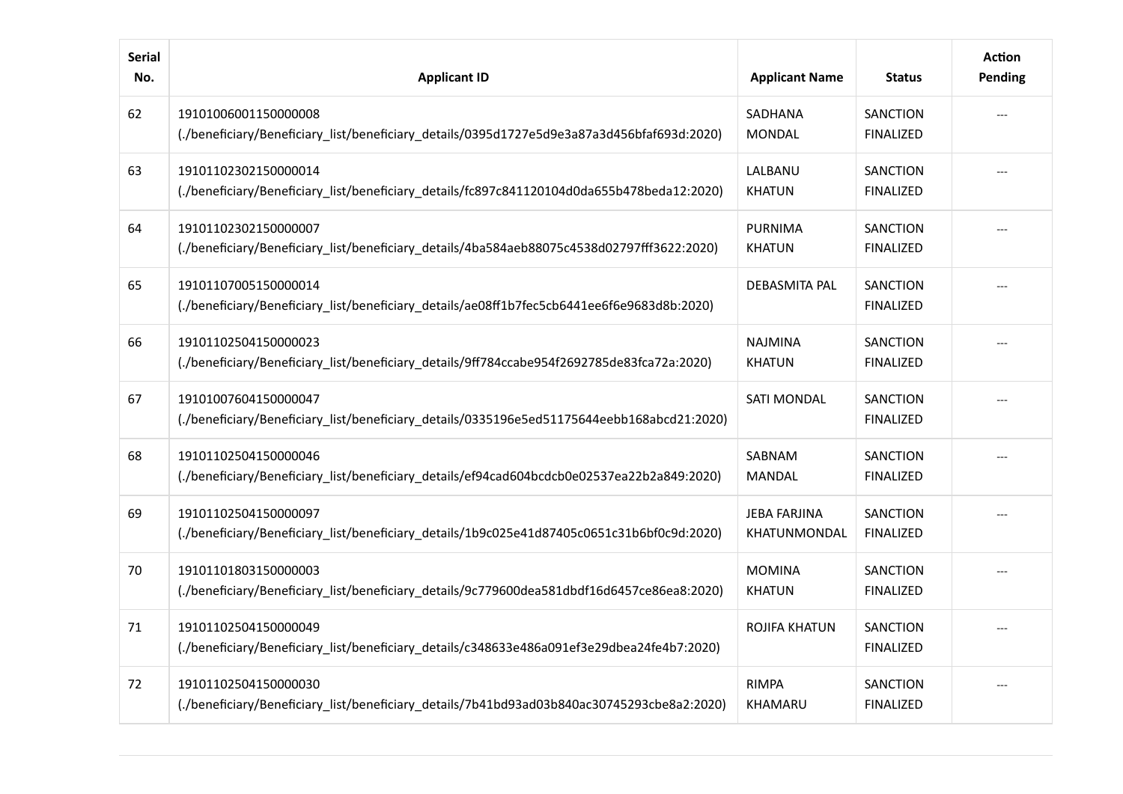| <b>Serial</b><br>No. | <b>Applicant ID</b>                                                                                                 | <b>Applicant Name</b>               | <b>Status</b>                       | <b>Action</b><br>Pending |
|----------------------|---------------------------------------------------------------------------------------------------------------------|-------------------------------------|-------------------------------------|--------------------------|
| 62                   | 19101006001150000008<br>(./beneficiary/Beneficiary_list/beneficiary_details/0395d1727e5d9e3a87a3d456bfaf693d:2020). | SADHANA<br><b>MONDAL</b>            | SANCTION<br><b>FINALIZED</b>        |                          |
| 63                   | 19101102302150000014<br>(./beneficiary/Beneficiary_list/beneficiary_details/fc897c841120104d0da655b478beda12:2020). | LALBANU<br><b>KHATUN</b>            | <b>SANCTION</b><br><b>FINALIZED</b> |                          |
| 64                   | 19101102302150000007<br>(./beneficiary/Beneficiary_list/beneficiary_details/4ba584aeb88075c4538d02797fff3622:2020). | PURNIMA<br><b>KHATUN</b>            | <b>SANCTION</b><br><b>FINALIZED</b> |                          |
| 65                   | 19101107005150000014<br>(./beneficiary/Beneficiary_list/beneficiary_details/ae08ff1b7fec5cb6441ee6f6e9683d8b:2020). | DEBASMITA PAL                       | <b>SANCTION</b><br><b>FINALIZED</b> |                          |
| 66                   | 19101102504150000023<br>(./beneficiary/Beneficiary_list/beneficiary_details/9ff784ccabe954f2692785de83fca72a:2020). | <b>NAJMINA</b><br><b>KHATUN</b>     | SANCTION<br><b>FINALIZED</b>        |                          |
| 67                   | 19101007604150000047<br>(./beneficiary/Beneficiary_list/beneficiary_details/0335196e5ed51175644eebb168abcd21:2020). | <b>SATI MONDAL</b>                  | <b>SANCTION</b><br><b>FINALIZED</b> |                          |
| 68                   | 19101102504150000046<br>(./beneficiary/Beneficiary_list/beneficiary_details/ef94cad604bcdcb0e02537ea22b2a849:2020). | SABNAM<br>MANDAL                    | <b>SANCTION</b><br><b>FINALIZED</b> |                          |
| 69                   | 19101102504150000097<br>(./beneficiary/Beneficiary_list/beneficiary_details/1b9c025e41d87405c0651c31b6bf0c9d:2020). | <b>JEBA FARJINA</b><br>KHATUNMONDAL | SANCTION<br><b>FINALIZED</b>        |                          |
| 70                   | 19101101803150000003<br>(./beneficiary/Beneficiary_list/beneficiary_details/9c779600dea581dbdf16d6457ce86ea8:2020). | <b>MOMINA</b><br><b>KHATUN</b>      | <b>SANCTION</b><br><b>FINALIZED</b> |                          |
| 71                   | 19101102504150000049<br>(./beneficiary/Beneficiary_list/beneficiary_details/c348633e486a091ef3e29dbea24fe4b7:2020). | ROJIFA KHATUN                       | <b>SANCTION</b><br><b>FINALIZED</b> |                          |
| 72                   | 19101102504150000030<br>(./beneficiary/Beneficiary_list/beneficiary_details/7b41bd93ad03b840ac30745293cbe8a2:2020). | <b>RIMPA</b><br>KHAMARU             | SANCTION<br><b>FINALIZED</b>        |                          |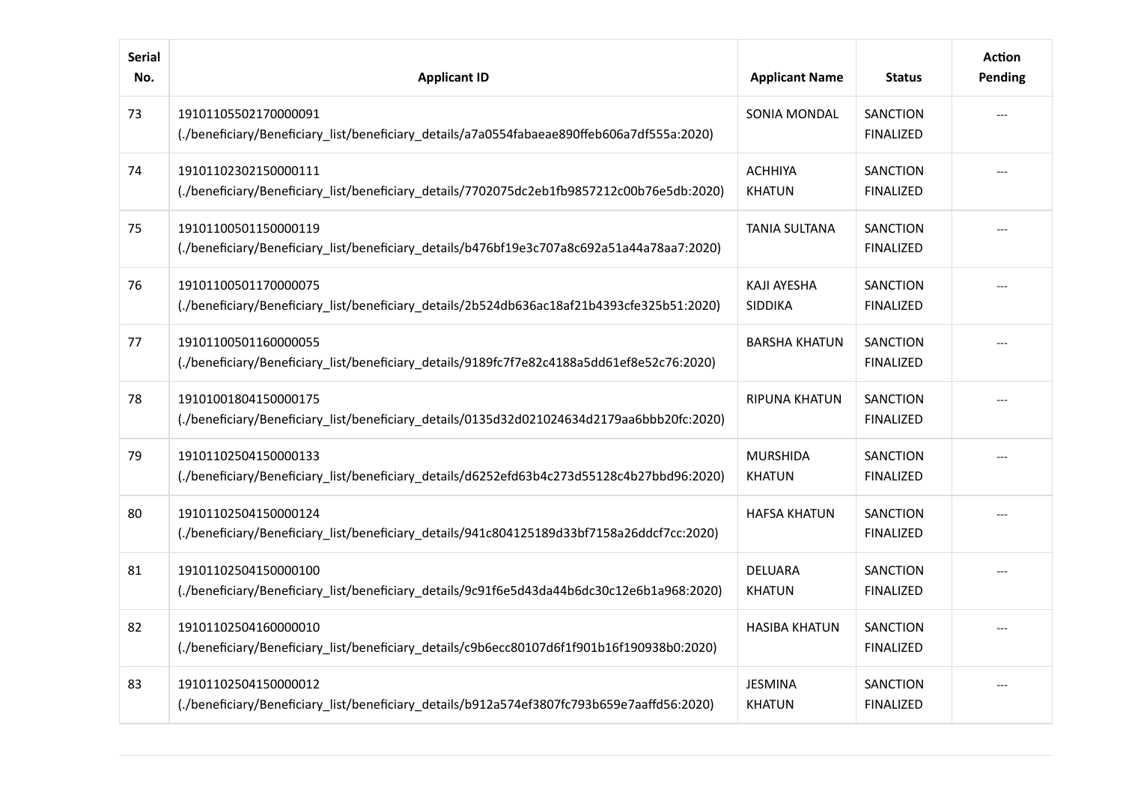| <b>Serial</b><br>No. | <b>Applicant ID</b>                                                                                                 | <b>Applicant Name</b>            | <b>Status</b>                       | <b>Action</b><br>Pending |
|----------------------|---------------------------------------------------------------------------------------------------------------------|----------------------------------|-------------------------------------|--------------------------|
| 73                   | 19101105502170000091<br>(./beneficiary/Beneficiary_list/beneficiary_details/a7a0554fabaeae890ffeb606a7df555a:2020)  | <b>SONIA MONDAL</b>              | SANCTION<br><b>FINALIZED</b>        |                          |
| 74                   | 19101102302150000111<br>(./beneficiary/Beneficiary_list/beneficiary_details/7702075dc2eb1fb9857212c00b76e5db:2020)  | <b>ACHHIYA</b><br><b>KHATUN</b>  | <b>SANCTION</b><br><b>FINALIZED</b> |                          |
| 75                   | 19101100501150000119<br>(./beneficiary/Beneficiary_list/beneficiary_details/b476bf19e3c707a8c692a51a44a78aa7:2020). | <b>TANIA SULTANA</b>             | <b>SANCTION</b><br><b>FINALIZED</b> |                          |
| 76                   | 19101100501170000075<br>(./beneficiary/Beneficiary_list/beneficiary_details/2b524db636ac18af21b4393cfe325b51:2020). | <b>KAJI AYESHA</b><br>SIDDIKA    | <b>SANCTION</b><br><b>FINALIZED</b> |                          |
| 77                   | 19101100501160000055<br>(./beneficiary/Beneficiary_list/beneficiary_details/9189fc7f7e82c4188a5dd61ef8e52c76:2020)  | <b>BARSHA KHATUN</b>             | <b>SANCTION</b><br><b>FINALIZED</b> |                          |
| 78                   | 19101001804150000175<br>(./beneficiary/Beneficiary_list/beneficiary_details/0135d32d021024634d2179aa6bbb20fc:2020)  | <b>RIPUNA KHATUN</b>             | <b>SANCTION</b><br><b>FINALIZED</b> |                          |
| 79                   | 19101102504150000133<br>(./beneficiary/Beneficiary_list/beneficiary_details/d6252efd63b4c273d55128c4b27bbd96:2020)  | <b>MURSHIDA</b><br><b>KHATUN</b> | <b>SANCTION</b><br><b>FINALIZED</b> |                          |
| 80                   | 19101102504150000124<br>(./beneficiary/Beneficiary_list/beneficiary_details/941c804125189d33bf7158a26ddcf7cc:2020)  | <b>HAFSA KHATUN</b>              | <b>SANCTION</b><br><b>FINALIZED</b> |                          |
| 81                   | 19101102504150000100<br>(./beneficiary/Beneficiary_list/beneficiary_details/9c91f6e5d43da44b6dc30c12e6b1a968:2020)  | <b>DELUARA</b><br><b>KHATUN</b>  | SANCTION<br><b>FINALIZED</b>        |                          |
| 82                   | 19101102504160000010<br>(./beneficiary/Beneficiary_list/beneficiary_details/c9b6ecc80107d6f1f901b16f190938b0:2020)  | <b>HASIBA KHATUN</b>             | SANCTION<br><b>FINALIZED</b>        |                          |
| 83                   | 19101102504150000012<br>(./beneficiary/Beneficiary_list/beneficiary_details/b912a574ef3807fc793b659e7aaffd56:2020). | <b>JESMINA</b><br><b>KHATUN</b>  | SANCTION<br><b>FINALIZED</b>        |                          |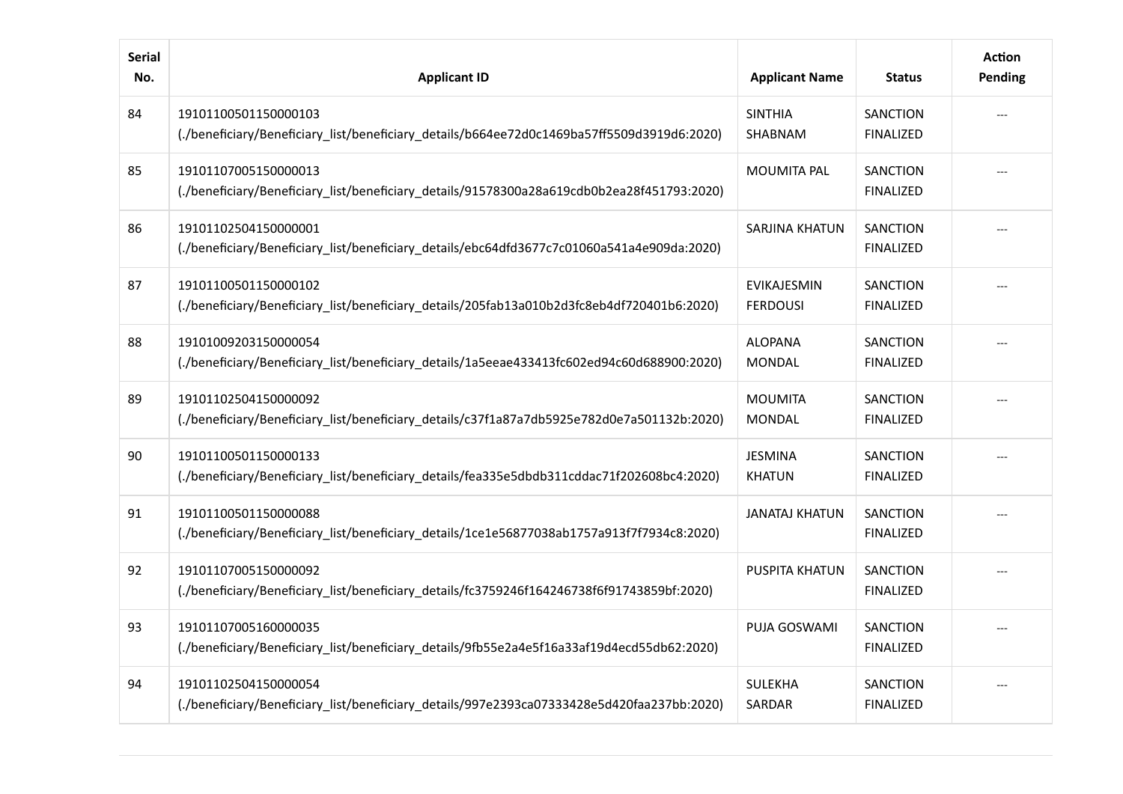| <b>Serial</b><br>No. | <b>Applicant ID</b>                                                                                                 | <b>Applicant Name</b>            | <b>Status</b>                       | <b>Action</b><br>Pending |
|----------------------|---------------------------------------------------------------------------------------------------------------------|----------------------------------|-------------------------------------|--------------------------|
| 84                   | 19101100501150000103<br>(./beneficiary/Beneficiary_list/beneficiary_details/b664ee72d0c1469ba57ff5509d3919d6:2020). | <b>SINTHIA</b><br><b>SHABNAM</b> | SANCTION<br><b>FINALIZED</b>        |                          |
| 85                   | 19101107005150000013<br>(./beneficiary/Beneficiary_list/beneficiary_details/91578300a28a619cdb0b2ea28f451793:2020). | <b>MOUMITA PAL</b>               | <b>SANCTION</b><br><b>FINALIZED</b> |                          |
| 86                   | 19101102504150000001<br>(./beneficiary/Beneficiary_list/beneficiary_details/ebc64dfd3677c7c01060a541a4e909da:2020). | SARJINA KHATUN                   | <b>SANCTION</b><br><b>FINALIZED</b> |                          |
| 87                   | 19101100501150000102<br>(./beneficiary/Beneficiary_list/beneficiary_details/205fab13a010b2d3fc8eb4df720401b6:2020). | EVIKAJESMIN<br><b>FERDOUSI</b>   | SANCTION<br><b>FINALIZED</b>        |                          |
| 88                   | 19101009203150000054<br>(./beneficiary/Beneficiary_list/beneficiary_details/1a5eeae433413fc602ed94c60d688900:2020). | <b>ALOPANA</b><br><b>MONDAL</b>  | SANCTION<br><b>FINALIZED</b>        |                          |
| 89                   | 19101102504150000092<br>(./beneficiary/Beneficiary_list/beneficiary_details/c37f1a87a7db5925e782d0e7a501132b:2020). | <b>MOUMITA</b><br><b>MONDAL</b>  | <b>SANCTION</b><br><b>FINALIZED</b> |                          |
| 90                   | 19101100501150000133<br>(./beneficiary/Beneficiary_list/beneficiary_details/fea335e5dbdb311cddac71f202608bc4:2020). | <b>JESMINA</b><br><b>KHATUN</b>  | SANCTION<br><b>FINALIZED</b>        |                          |
| 91                   | 19101100501150000088<br>(./beneficiary/Beneficiary_list/beneficiary_details/1ce1e56877038ab1757a913f7f7934c8:2020). | <b>JANATAJ KHATUN</b>            | SANCTION<br><b>FINALIZED</b>        |                          |
| 92                   | 19101107005150000092<br>(./beneficiary/Beneficiary_list/beneficiary_details/fc3759246f164246738f6f91743859bf:2020). | PUSPITA KHATUN                   | SANCTION<br><b>FINALIZED</b>        |                          |
| 93                   | 19101107005160000035<br>(./beneficiary/Beneficiary_list/beneficiary_details/9fb55e2a4e5f16a33af19d4ecd55db62:2020). | PUJA GOSWAMI                     | SANCTION<br><b>FINALIZED</b>        |                          |
| 94                   | 19101102504150000054<br>(./beneficiary/Beneficiary_list/beneficiary_details/997e2393ca07333428e5d420faa237bb:2020). | <b>SULEKHA</b><br>SARDAR         | SANCTION<br><b>FINALIZED</b>        |                          |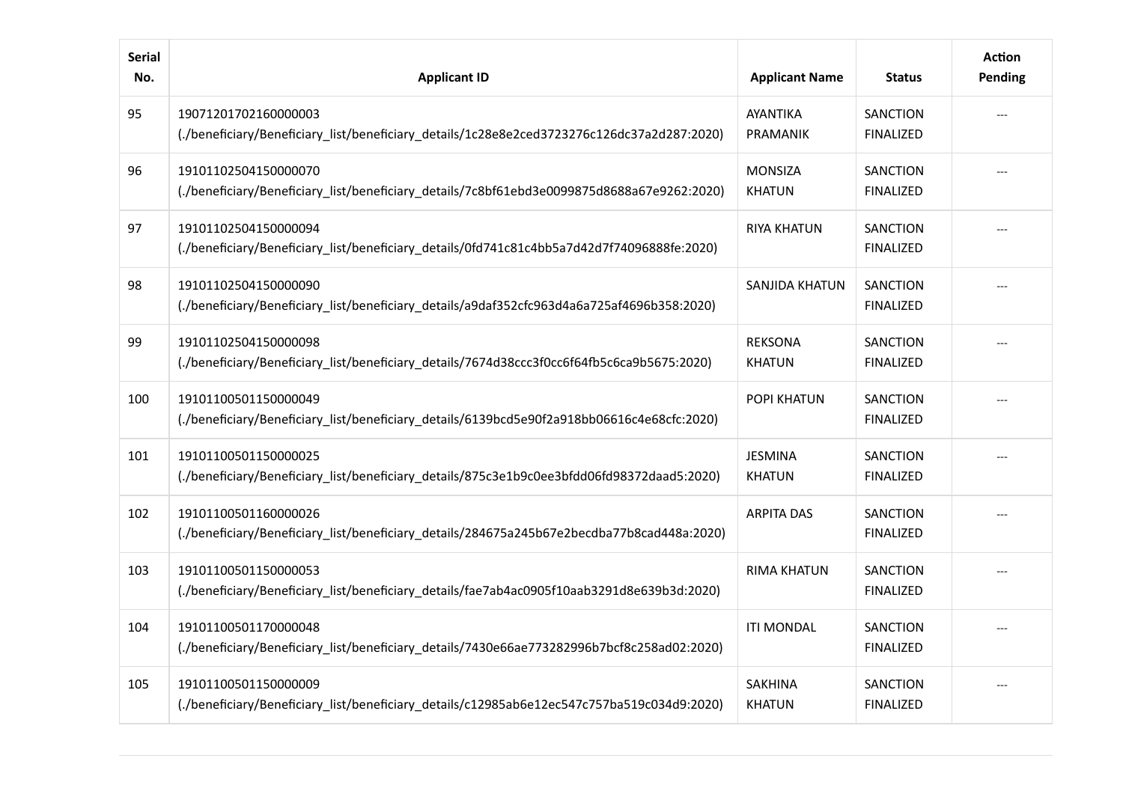| <b>Serial</b><br>No. | <b>Applicant ID</b>                                                                                                 | <b>Applicant Name</b>              | <b>Status</b>                       | <b>Action</b><br>Pending |
|----------------------|---------------------------------------------------------------------------------------------------------------------|------------------------------------|-------------------------------------|--------------------------|
| 95                   | 19071201702160000003<br>(./beneficiary/Beneficiary_list/beneficiary_details/1c28e8e2ced3723276c126dc37a2d287:2020)  | <b>AYANTIKA</b><br><b>PRAMANIK</b> | SANCTION<br><b>FINALIZED</b>        |                          |
| 96                   | 19101102504150000070<br>(./beneficiary/Beneficiary_list/beneficiary_details/7c8bf61ebd3e0099875d8688a67e9262:2020)  | <b>MONSIZA</b><br><b>KHATUN</b>    | <b>SANCTION</b><br><b>FINALIZED</b> |                          |
| 97                   | 19101102504150000094<br>(./beneficiary/Beneficiary_list/beneficiary_details/0fd741c81c4bb5a7d42d7f74096888fe:2020). | <b>RIYA KHATUN</b>                 | <b>SANCTION</b><br><b>FINALIZED</b> |                          |
| 98                   | 19101102504150000090<br>(./beneficiary/Beneficiary_list/beneficiary_details/a9daf352cfc963d4a6a725af4696b358:2020). | SANJIDA KHATUN                     | SANCTION<br><b>FINALIZED</b>        |                          |
| 99                   | 19101102504150000098<br>(./beneficiary/Beneficiary_list/beneficiary_details/7674d38ccc3f0cc6f64fb5c6ca9b5675:2020). | <b>REKSONA</b><br><b>KHATUN</b>    | SANCTION<br><b>FINALIZED</b>        |                          |
| 100                  | 19101100501150000049<br>(./beneficiary/Beneficiary_list/beneficiary_details/6139bcd5e90f2a918bb06616c4e68cfc:2020)  | POPI KHATUN                        | <b>SANCTION</b><br><b>FINALIZED</b> |                          |
| 101                  | 19101100501150000025<br>(./beneficiary/Beneficiary_list/beneficiary_details/875c3e1b9c0ee3bfdd06fd98372daad5:2020)  | <b>JESMINA</b><br><b>KHATUN</b>    | <b>SANCTION</b><br><b>FINALIZED</b> |                          |
| 102                  | 19101100501160000026<br>(./beneficiary/Beneficiary_list/beneficiary_details/284675a245b67e2becdba77b8cad448a:2020). | <b>ARPITA DAS</b>                  | <b>SANCTION</b><br><b>FINALIZED</b> |                          |
| 103                  | 19101100501150000053<br>(./beneficiary/Beneficiary_list/beneficiary_details/fae7ab4ac0905f10aab3291d8e639b3d:2020)  | <b>RIMA KHATUN</b>                 | <b>SANCTION</b><br><b>FINALIZED</b> |                          |
| 104                  | 19101100501170000048<br>(./beneficiary/Beneficiary_list/beneficiary_details/7430e66ae773282996b7bcf8c258ad02:2020)  | <b>ITI MONDAL</b>                  | <b>SANCTION</b><br><b>FINALIZED</b> |                          |
| 105                  | 19101100501150000009<br>(./beneficiary/Beneficiary_list/beneficiary_details/c12985ab6e12ec547c757ba519c034d9:2020)  | <b>SAKHINA</b><br><b>KHATUN</b>    | <b>SANCTION</b><br><b>FINALIZED</b> |                          |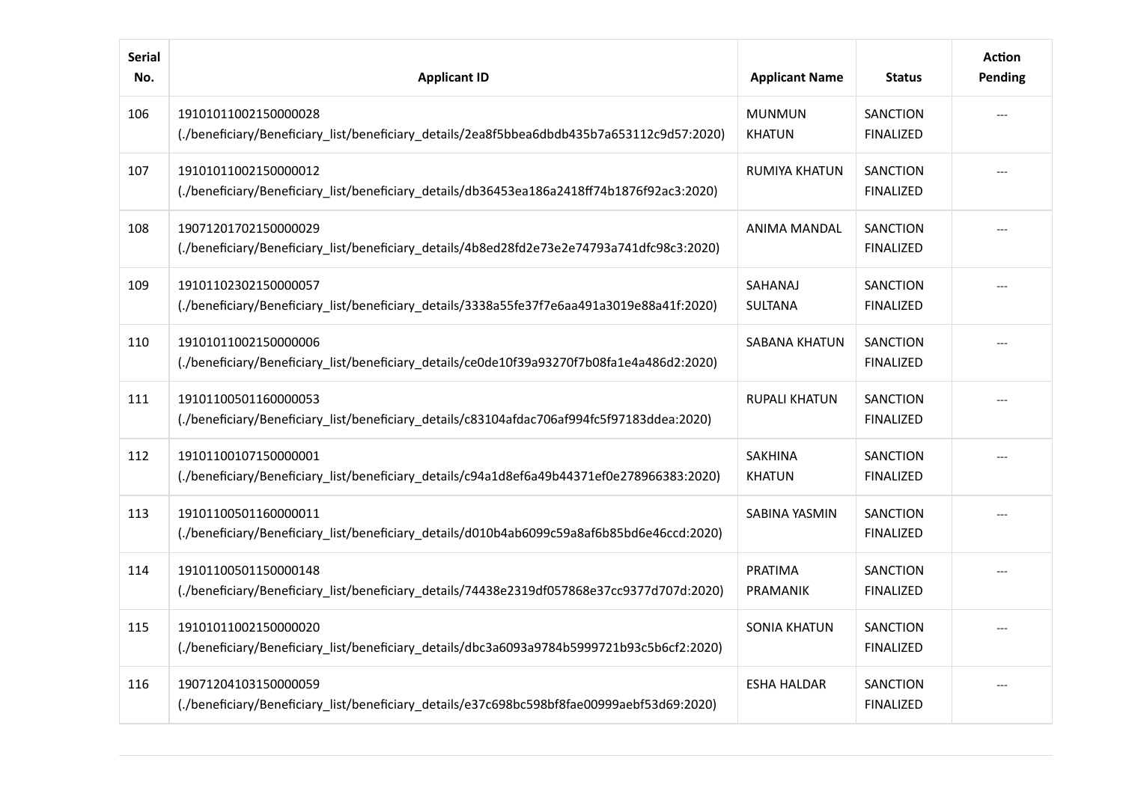| <b>Serial</b><br>No. | <b>Applicant ID</b>                                                                                                 | <b>Applicant Name</b>           | <b>Status</b>                       | <b>Action</b><br>Pending |
|----------------------|---------------------------------------------------------------------------------------------------------------------|---------------------------------|-------------------------------------|--------------------------|
| 106                  | 19101011002150000028<br>(./beneficiary/Beneficiary_list/beneficiary_details/2ea8f5bbea6dbdb435b7a653112c9d57:2020)  | <b>MUNMUN</b><br><b>KHATUN</b>  | SANCTION<br><b>FINALIZED</b>        |                          |
| 107                  | 19101011002150000012<br>(./beneficiary/Beneficiary_list/beneficiary_details/db36453ea186a2418ff74b1876f92ac3:2020)  | <b>RUMIYA KHATUN</b>            | <b>SANCTION</b><br><b>FINALIZED</b> |                          |
| 108                  | 19071201702150000029<br>(./beneficiary/Beneficiary_list/beneficiary_details/4b8ed28fd2e73e2e74793a741dfc98c3:2020). | ANIMA MANDAL                    | <b>SANCTION</b><br><b>FINALIZED</b> |                          |
| 109                  | 19101102302150000057<br>(./beneficiary/Beneficiary_list/beneficiary_details/3338a55fe37f7e6aa491a3019e88a41f:2020). | SAHANAJ<br><b>SULTANA</b>       | <b>SANCTION</b><br><b>FINALIZED</b> |                          |
| 110                  | 19101011002150000006<br>(./beneficiary/Beneficiary_list/beneficiary_details/ce0de10f39a93270f7b08fa1e4a486d2:2020)  | SABANA KHATUN                   | SANCTION<br><b>FINALIZED</b>        |                          |
| 111                  | 19101100501160000053<br>(./beneficiary/Beneficiary_list/beneficiary_details/c83104afdac706af994fc5f97183ddea:2020). | <b>RUPALI KHATUN</b>            | <b>SANCTION</b><br><b>FINALIZED</b> |                          |
| 112                  | 19101100107150000001<br>(./beneficiary/Beneficiary_list/beneficiary_details/c94a1d8ef6a49b44371ef0e278966383:2020)  | <b>SAKHINA</b><br><b>KHATUN</b> | <b>SANCTION</b><br><b>FINALIZED</b> |                          |
| 113                  | 19101100501160000011<br>(./beneficiary/Beneficiary_list/beneficiary_details/d010b4ab6099c59a8af6b85bd6e46ccd:2020)  | SABINA YASMIN                   | <b>SANCTION</b><br><b>FINALIZED</b> |                          |
| 114                  | 19101100501150000148<br>(./beneficiary/Beneficiary_list/beneficiary_details/74438e2319df057868e37cc9377d707d:2020)  | PRATIMA<br>PRAMANIK             | <b>SANCTION</b><br><b>FINALIZED</b> |                          |
| 115                  | 19101011002150000020<br>(./beneficiary/Beneficiary_list/beneficiary_details/dbc3a6093a9784b5999721b93c5b6cf2:2020)  | <b>SONIA KHATUN</b>             | <b>SANCTION</b><br><b>FINALIZED</b> |                          |
| 116                  | 19071204103150000059<br>(./beneficiary/Beneficiary_list/beneficiary_details/e37c698bc598bf8fae00999aebf53d69:2020). | <b>ESHA HALDAR</b>              | <b>SANCTION</b><br><b>FINALIZED</b> |                          |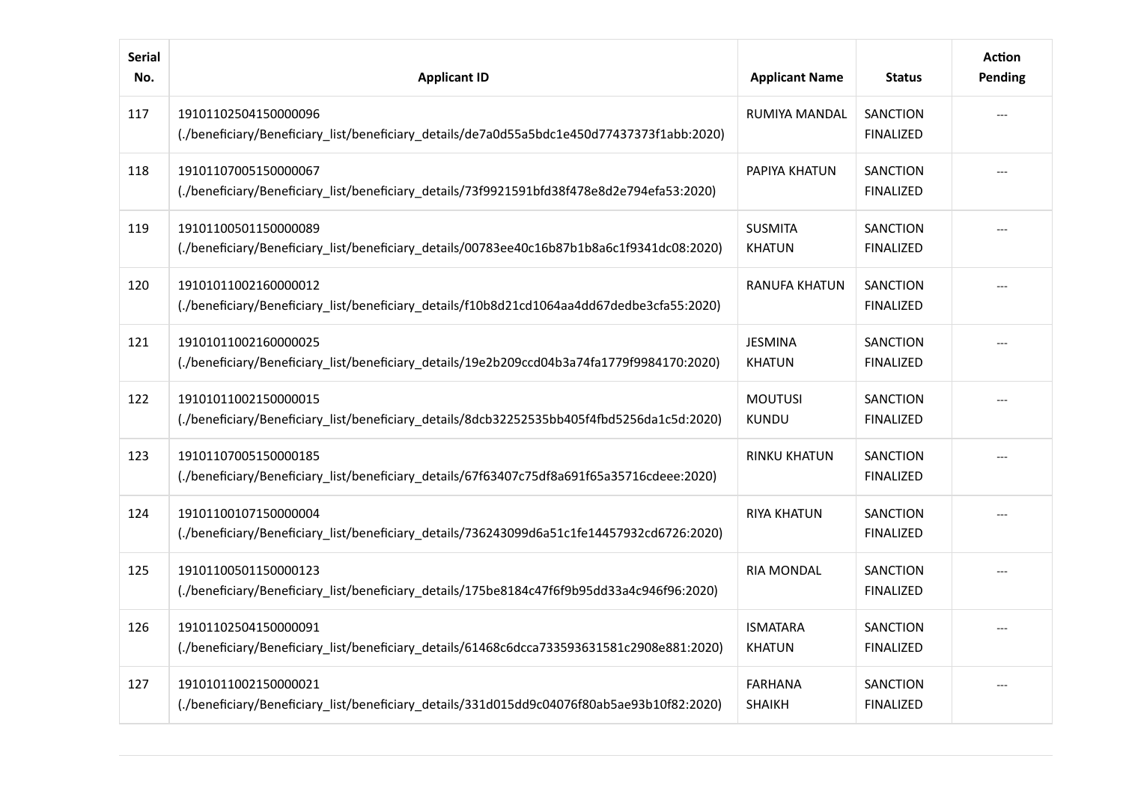| <b>Serial</b><br>No. | <b>Applicant ID</b>                                                                                                 | <b>Applicant Name</b>            | <b>Status</b>                       | <b>Action</b><br>Pending |
|----------------------|---------------------------------------------------------------------------------------------------------------------|----------------------------------|-------------------------------------|--------------------------|
| 117                  | 19101102504150000096<br>(./beneficiary/Beneficiary_list/beneficiary_details/de7a0d55a5bdc1e450d77437373f1abb:2020)  | RUMIYA MANDAL                    | <b>SANCTION</b><br><b>FINALIZED</b> |                          |
| 118                  | 19101107005150000067<br>(./beneficiary/Beneficiary_list/beneficiary_details/73f9921591bfd38f478e8d2e794efa53:2020). | PAPIYA KHATUN                    | <b>SANCTION</b><br><b>FINALIZED</b> |                          |
| 119                  | 19101100501150000089<br>(./beneficiary/Beneficiary_list/beneficiary_details/00783ee40c16b87b1b8a6c1f9341dc08:2020)  | <b>SUSMITA</b><br><b>KHATUN</b>  | <b>SANCTION</b><br><b>FINALIZED</b> |                          |
| 120                  | 19101011002160000012<br>(./beneficiary/Beneficiary_list/beneficiary_details/f10b8d21cd1064aa4dd67dedbe3cfa55:2020). | RANUFA KHATUN                    | <b>SANCTION</b><br><b>FINALIZED</b> |                          |
| 121                  | 19101011002160000025<br>(./beneficiary/Beneficiary_list/beneficiary_details/19e2b209ccd04b3a74fa1779f9984170:2020)  | <b>JESMINA</b><br><b>KHATUN</b>  | <b>SANCTION</b><br><b>FINALIZED</b> |                          |
| 122                  | 19101011002150000015<br>(./beneficiary/Beneficiary_list/beneficiary_details/8dcb32252535bb405f4fbd5256da1c5d:2020)  | <b>MOUTUSI</b><br><b>KUNDU</b>   | <b>SANCTION</b><br><b>FINALIZED</b> |                          |
| 123                  | 19101107005150000185<br>(./beneficiary/Beneficiary_list/beneficiary_details/67f63407c75df8a691f65a35716cdeee:2020)  | <b>RINKU KHATUN</b>              | <b>SANCTION</b><br><b>FINALIZED</b> |                          |
| 124                  | 19101100107150000004<br>(./beneficiary/Beneficiary_list/beneficiary_details/736243099d6a51c1fe14457932cd6726:2020)  | <b>RIYA KHATUN</b>               | <b>SANCTION</b><br><b>FINALIZED</b> |                          |
| 125                  | 19101100501150000123<br>(./beneficiary/Beneficiary_list/beneficiary_details/175be8184c47f6f9b95dd33a4c946f96:2020)  | <b>RIA MONDAL</b>                | <b>SANCTION</b><br><b>FINALIZED</b> |                          |
| 126                  | 19101102504150000091<br>(./beneficiary/Beneficiary_list/beneficiary_details/61468c6dcca733593631581c2908e881:2020). | <b>ISMATARA</b><br><b>KHATUN</b> | <b>SANCTION</b><br><b>FINALIZED</b> |                          |
| 127                  | 19101011002150000021<br>(./beneficiary/Beneficiary_list/beneficiary_details/331d015dd9c04076f80ab5ae93b10f82:2020)  | <b>FARHANA</b><br><b>SHAIKH</b>  | <b>SANCTION</b><br><b>FINALIZED</b> |                          |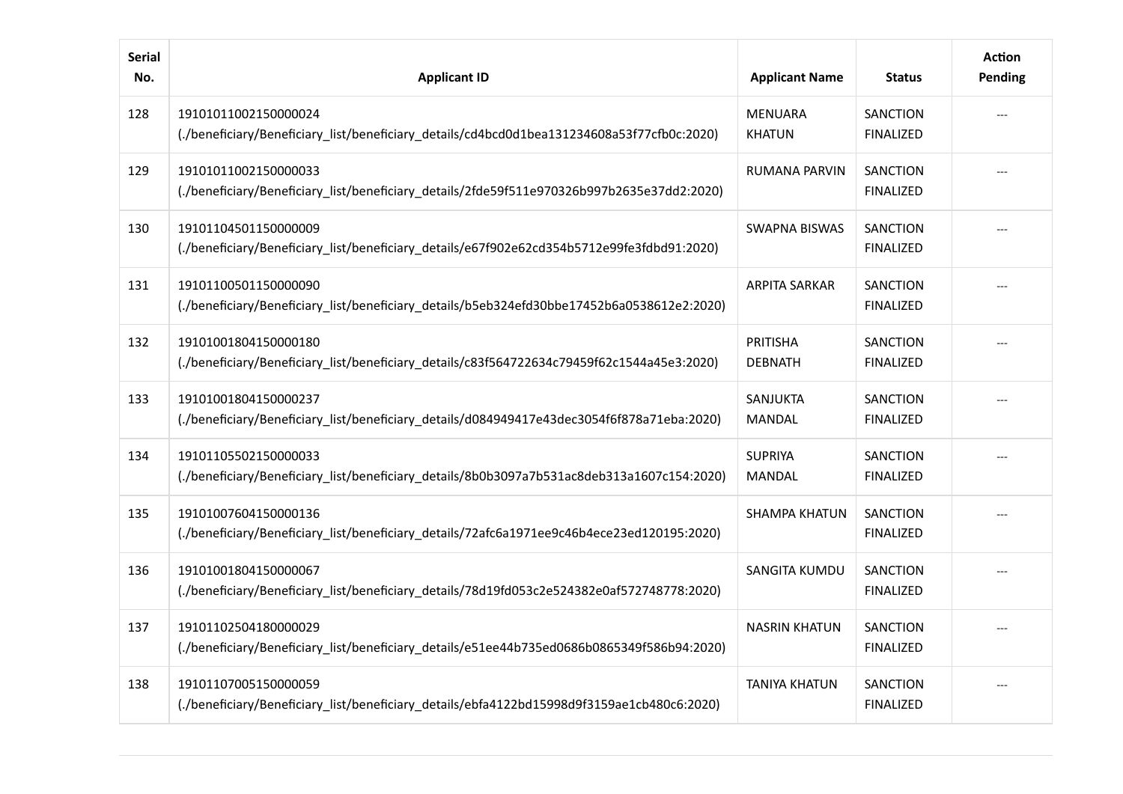| <b>Serial</b><br>No. | <b>Applicant ID</b>                                                                                                  | <b>Applicant Name</b>             | <b>Status</b>                       | <b>Action</b><br>Pending |
|----------------------|----------------------------------------------------------------------------------------------------------------------|-----------------------------------|-------------------------------------|--------------------------|
| 128                  | 19101011002150000024<br>(./beneficiary/Beneficiary_list/beneficiary_details/cd4bcd0d1bea131234608a53f77cfb0c:2020)   | <b>MENUARA</b><br><b>KHATUN</b>   | <b>SANCTION</b><br><b>FINALIZED</b> |                          |
| 129                  | 19101011002150000033<br>(./beneficiary/Beneficiary_list/beneficiary_details/2fde59f511e970326b997b2635e37dd2:2020)   | <b>RUMANA PARVIN</b>              | <b>SANCTION</b><br><b>FINALIZED</b> |                          |
| 130                  | 19101104501150000009<br>(./beneficiary/Beneficiary_list/beneficiary_details/e67f902e62cd354b5712e99fe3fdbd91:2020).  | SWAPNA BISWAS                     | <b>SANCTION</b><br><b>FINALIZED</b> |                          |
| 131                  | 19101100501150000090<br>(./beneficiary/Beneficiary_list/beneficiary_details/b5eb324efd30bbe17452b6a0538612e2:2020)   | <b>ARPITA SARKAR</b>              | <b>SANCTION</b><br><b>FINALIZED</b> |                          |
| 132                  | 19101001804150000180<br>(./beneficiary/Beneficiary_list/beneficiary_details/c83f564722634c79459f62c1544a45e3:2020).  | <b>PRITISHA</b><br><b>DEBNATH</b> | <b>SANCTION</b><br><b>FINALIZED</b> |                          |
| 133                  | 19101001804150000237<br>(./beneficiary/Beneficiary_list/beneficiary_details/d084949417e43dec3054f6f878a71eba:2020).  | SANJUKTA<br><b>MANDAL</b>         | <b>SANCTION</b><br><b>FINALIZED</b> |                          |
| 134                  | 19101105502150000033<br>(./beneficiary/Beneficiary_list/beneficiary_details/8b0b3097a7b531ac8deb313a1607c154:2020).  | <b>SUPRIYA</b><br>MANDAL          | <b>SANCTION</b><br><b>FINALIZED</b> |                          |
| 135                  | 19101007604150000136<br>(./beneficiary/Beneficiary_list/beneficiary_details/72afc6a1971ee9c46b4ece23ed120195:2020)   | <b>SHAMPA KHATUN</b>              | <b>SANCTION</b><br><b>FINALIZED</b> |                          |
| 136                  | 19101001804150000067<br>(./beneficiary/Beneficiary_list/beneficiary_details/78d19fd053c2e524382e0af572748778:2020)   | SANGITA KUMDU                     | <b>SANCTION</b><br><b>FINALIZED</b> |                          |
| 137                  | 19101102504180000029<br>(./beneficiary/Beneficiary_list/beneficiary_details/e51ee44b735ed0686b0865349f586b94:2020).) | <b>NASRIN KHATUN</b>              | <b>SANCTION</b><br><b>FINALIZED</b> |                          |
| 138                  | 19101107005150000059<br>(./beneficiary/Beneficiary_list/beneficiary_details/ebfa4122bd15998d9f3159ae1cb480c6:2020)   | <b>TANIYA KHATUN</b>              | <b>SANCTION</b><br><b>FINALIZED</b> |                          |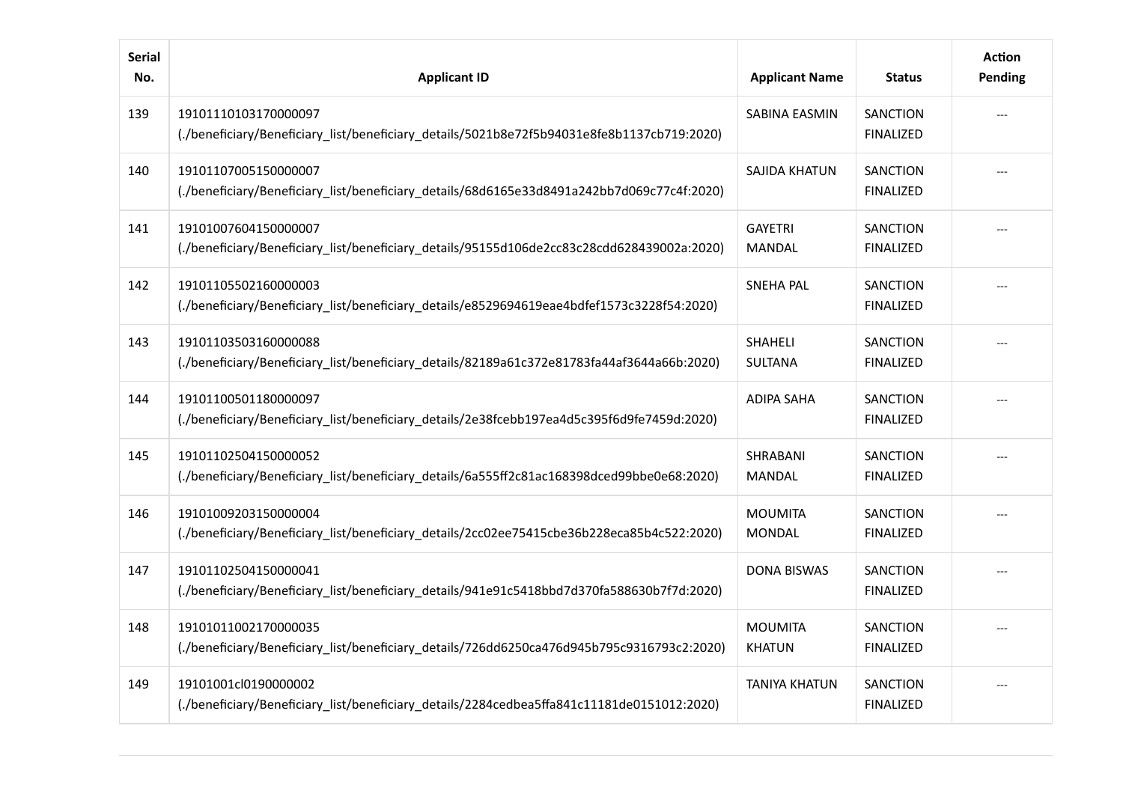| <b>Serial</b><br>No. | <b>Applicant ID</b>                                                                                                 | <b>Applicant Name</b>            | <b>Status</b>                       | <b>Action</b><br>Pending |
|----------------------|---------------------------------------------------------------------------------------------------------------------|----------------------------------|-------------------------------------|--------------------------|
| 139                  | 19101110103170000097<br>(./beneficiary/Beneficiary_list/beneficiary_details/5021b8e72f5b94031e8fe8b1137cb719:2020)  | SABINA EASMIN                    | <b>SANCTION</b><br><b>FINALIZED</b> |                          |
| 140                  | 19101107005150000007<br>(./beneficiary/Beneficiary_list/beneficiary_details/68d6165e33d8491a242bb7d069c77c4f:2020)  | SAJIDA KHATUN                    | <b>SANCTION</b><br><b>FINALIZED</b> |                          |
| 141                  | 19101007604150000007<br>(./beneficiary/Beneficiary_list/beneficiary_details/95155d106de2cc83c28cdd628439002a:2020)  | <b>GAYETRI</b><br>MANDAL         | <b>SANCTION</b><br><b>FINALIZED</b> |                          |
| 142                  | 19101105502160000003<br>(./beneficiary/Beneficiary_list/beneficiary_details/e8529694619eae4bdfef1573c3228f54:2020). | <b>SNEHA PAL</b>                 | <b>SANCTION</b><br><b>FINALIZED</b> |                          |
| 143                  | 19101103503160000088<br>(./beneficiary/Beneficiary_list/beneficiary_details/82189a61c372e81783fa44af3644a66b:2020)  | <b>SHAHELI</b><br><b>SULTANA</b> | <b>SANCTION</b><br><b>FINALIZED</b> |                          |
| 144                  | 19101100501180000097<br>(./beneficiary/Beneficiary_list/beneficiary_details/2e38fcebb197ea4d5c395f6d9fe7459d:2020). | <b>ADIPA SAHA</b>                | <b>SANCTION</b><br><b>FINALIZED</b> |                          |
| 145                  | 19101102504150000052<br>(./beneficiary/Beneficiary_list/beneficiary_details/6a555ff2c81ac168398dced99bbe0e68:2020)  | SHRABANI<br><b>MANDAL</b>        | <b>SANCTION</b><br><b>FINALIZED</b> |                          |
| 146                  | 19101009203150000004<br>(./beneficiary/Beneficiary_list/beneficiary_details/2cc02ee75415cbe36b228eca85b4c522:2020)  | <b>MOUMITA</b><br><b>MONDAL</b>  | <b>SANCTION</b><br><b>FINALIZED</b> |                          |
| 147                  | 19101102504150000041<br>(./beneficiary/Beneficiary_list/beneficiary_details/941e91c5418bbd7d370fa588630b7f7d:2020)  | <b>DONA BISWAS</b>               | <b>SANCTION</b><br><b>FINALIZED</b> |                          |
| 148                  | 19101011002170000035<br>(./beneficiary/Beneficiary_list/beneficiary_details/726dd6250ca476d945b795c9316793c2:2020). | <b>MOUMITA</b><br><b>KHATUN</b>  | <b>SANCTION</b><br><b>FINALIZED</b> |                          |
| 149                  | 19101001cl0190000002<br>(./beneficiary/Beneficiary_list/beneficiary_details/2284cedbea5ffa841c11181de0151012:2020)  | <b>TANIYA KHATUN</b>             | SANCTION<br><b>FINALIZED</b>        |                          |